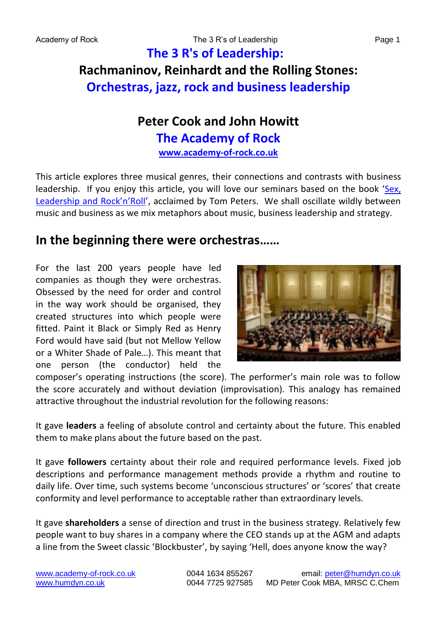## **The 3 R's of Leadership: Rachmaninov, Reinhardt and the Rolling Stones: Orchestras, jazz, rock and business leadership**

## **Peter Cook and John Howitt The Academy of Rock [www.academy-of-rock.co.uk](http://www.academy-of-rock.co.uk/)**

This article explores three musical genres, their connections and contrasts with business leadership. If you enjoy this article, you will love our seminars based on the book '[Sex,](http://www.academy-of-rock.co.uk/)  [Leadership and Rock'n'Roll'](http://www.academy-of-rock.co.uk/), acclaimed by Tom Peters. We shall oscillate wildly between music and business as we mix metaphors about music, business leadership and strategy.

## **In the beginning there were orchestras……**

For the last 200 years people have led companies as though they were orchestras. Obsessed by the need for order and control in the way work should be organised, they created structures into which people were fitted. Paint it Black or Simply Red as Henry Ford would have said (but not Mellow Yellow or a Whiter Shade of Pale…). This meant that one person (the conductor) held the



composer's operating instructions (the score). The performer's main role was to follow the score accurately and without deviation (improvisation). This analogy has remained attractive throughout the industrial revolution for the following reasons:

It gave **leaders** a feeling of absolute control and certainty about the future. This enabled them to make plans about the future based on the past.

It gave **followers** certainty about their role and required performance levels. Fixed job descriptions and performance management methods provide a rhythm and routine to daily life. Over time, such systems become 'unconscious structures' or 'scores' that create conformity and level performance to acceptable rather than extraordinary levels.

It gave **shareholders** a sense of direction and trust in the business strategy. Relatively few people want to buy shares in a company where the CEO stands up at the AGM and adapts a line from the Sweet classic 'Blockbuster', by saying 'Hell, does anyone know the way?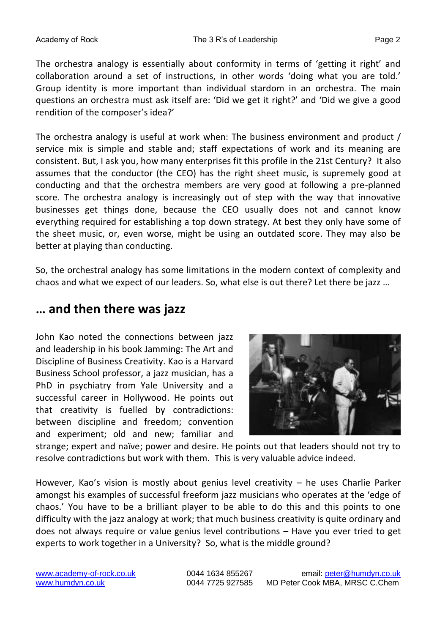The orchestra analogy is essentially about conformity in terms of 'getting it right' and collaboration around a set of instructions, in other words 'doing what you are told.' Group identity is more important than individual stardom in an orchestra. The main questions an orchestra must ask itself are: 'Did we get it right?' and 'Did we give a good rendition of the composer's idea?'

The orchestra analogy is useful at work when: The business environment and product / service mix is simple and stable and; staff expectations of work and its meaning are consistent. But, I ask you, how many enterprises fit this profile in the 21st Century? It also assumes that the conductor (the CEO) has the right sheet music, is supremely good at conducting and that the orchestra members are very good at following a pre-planned score. The orchestra analogy is increasingly out of step with the way that innovative businesses get things done, because the CEO usually does not and cannot know everything required for establishing a top down strategy. At best they only have some of the sheet music, or, even worse, might be using an outdated score. They may also be better at playing than conducting.

So, the orchestral analogy has some limitations in the modern context of complexity and chaos and what we expect of our leaders. So, what else is out there? Let there be jazz …

### **… and then there was jazz**

John Kao noted the connections between jazz and leadership in his book Jamming: The Art and Discipline of Business Creativity. Kao is a Harvard Business School professor, a jazz musician, has a PhD in psychiatry from Yale University and a successful career in Hollywood. He points out that creativity is fuelled by contradictions: between discipline and freedom; convention and experiment; old and new; familiar and



strange; expert and naïve; power and desire. He points out that leaders should not try to resolve contradictions but work with them. This is very valuable advice indeed.

However, Kao's vision is mostly about genius level creativity – he uses Charlie Parker amongst his examples of successful freeform jazz musicians who operates at the 'edge of chaos.' You have to be a brilliant player to be able to do this and this points to one difficulty with the jazz analogy at work; that much business creativity is quite ordinary and does not always require or value genius level contributions – Have you ever tried to get experts to work together in a University? So, what is the middle ground?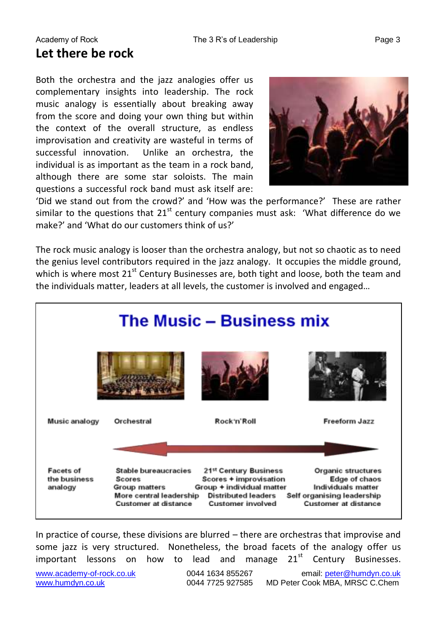Both the orchestra and the jazz analogies offer us complementary insights into leadership. The rock music analogy is essentially about breaking away from the score and doing your own thing but within the context of the overall structure, as endless improvisation and creativity are wasteful in terms of successful innovation. Unlike an orchestra, the individual is as important as the team in a rock band, although there are some star soloists. The main questions a successful rock band must ask itself are:



'Did we stand out from the crowd?' and 'How was the performance?' These are rather similar to the questions that  $21<sup>st</sup>$  century companies must ask: 'What difference do we make?' and 'What do our customers think of us?'

The rock music analogy is looser than the orchestra analogy, but not so chaotic as to need the genius level contributors required in the jazz analogy. It occupies the middle ground, which is where most  $21^{st}$  Century Businesses are, both tight and loose, both the team and the individuals matter, leaders at all levels, the customer is involved and engaged…



In practice of course, these divisions are blurred – there are orchestras that improvise and some jazz is very structured. Nonetheless, the broad facets of the analogy offer us important lessons on how to lead and manage  $21<sup>st</sup>$  Century Businesses.

[www.academy-of-rock.co.uk](http://www.academy-of-rock.co.uk/) 0044 1634 855267 email: [peter@humdyn.co.uk](mailto:peter@humdyn.co.uk) [www.humdyn.co.uk](http://www.humdyn.co.uk/) 0044 7725 927585 MD Peter Cook MBA, MRSC C.Chem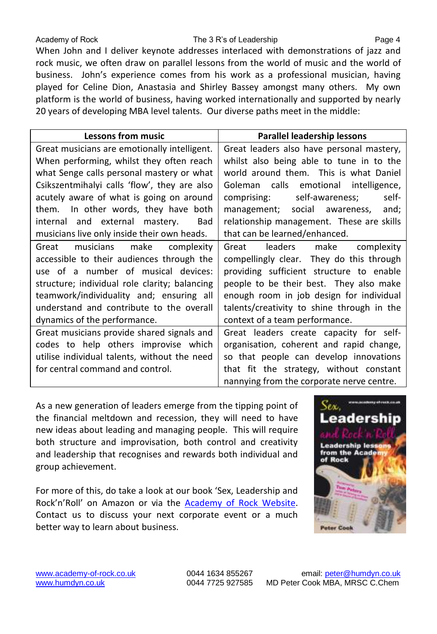#### Academy of Rock The 3 R's of Leadership Page 4

When John and I deliver keynote addresses interlaced with demonstrations of jazz and rock music, we often draw on parallel lessons from the world of music and the world of business. John's experience comes from his work as a professional musician, having played for Celine Dion, Anastasia and Shirley Bassey amongst many others. My own platform is the world of business, having worked internationally and supported by nearly 20 years of developing MBA level talents. Our diverse paths meet in the middle:

| <b>Lessons from music</b>                     | Parallel leadership lessons                |
|-----------------------------------------------|--------------------------------------------|
| Great musicians are emotionally intelligent.  | Great leaders also have personal mastery,  |
| When performing, whilst they often reach      | whilst also being able to tune in to the   |
| what Senge calls personal mastery or what     | world around them. This is what Daniel     |
| Csikszentmihalyi calls 'flow', they are also  | Goleman calls emotional intelligence,      |
| acutely aware of what is going on around      | comprising: self-awareness;<br>self-       |
| them. In other words, they have both          | and;<br>management; social awareness,      |
| internal and external mastery.<br>Bad         | relationship management. These are skills  |
| musicians live only inside their own heads.   | that can be learned/enhanced.              |
| musicians make<br>Great<br>complexity         | Great leaders make<br>complexity           |
| accessible to their audiences through the     | compellingly clear. They do this through   |
| use of a number of musical devices:           | providing sufficient structure to enable   |
| structure; individual role clarity; balancing | people to be their best. They also make    |
| teamwork/individuality and; ensuring all      | enough room in job design for individual   |
| understand and contribute to the overall      | talents/creativity to shine through in the |
| dynamics of the performance.                  | context of a team performance.             |
| Great musicians provide shared signals and    | Great leaders create capacity for self-    |
| codes to help others improvise which          | organisation, coherent and rapid change,   |
| utilise individual talents, without the need  | so that people can develop innovations     |
| for central command and control.              | that fit the strategy, without constant    |
|                                               | nannying from the corporate nerve centre.  |

As a new generation of leaders emerge from the tipping point of the financial meltdown and recession, they will need to have new ideas about leading and managing people. This will require both structure and improvisation, both control and creativity and leadership that recognises and rewards both individual and group achievement.

For more of this, do take a look at our book 'Sex, Leadership and Rock'n'Roll' on Amazon or via the [Academy of Rock Website.](http://www.academy-of-rock.co.uk/) Contact us to discuss your next corporate event or a much better way to learn about business.